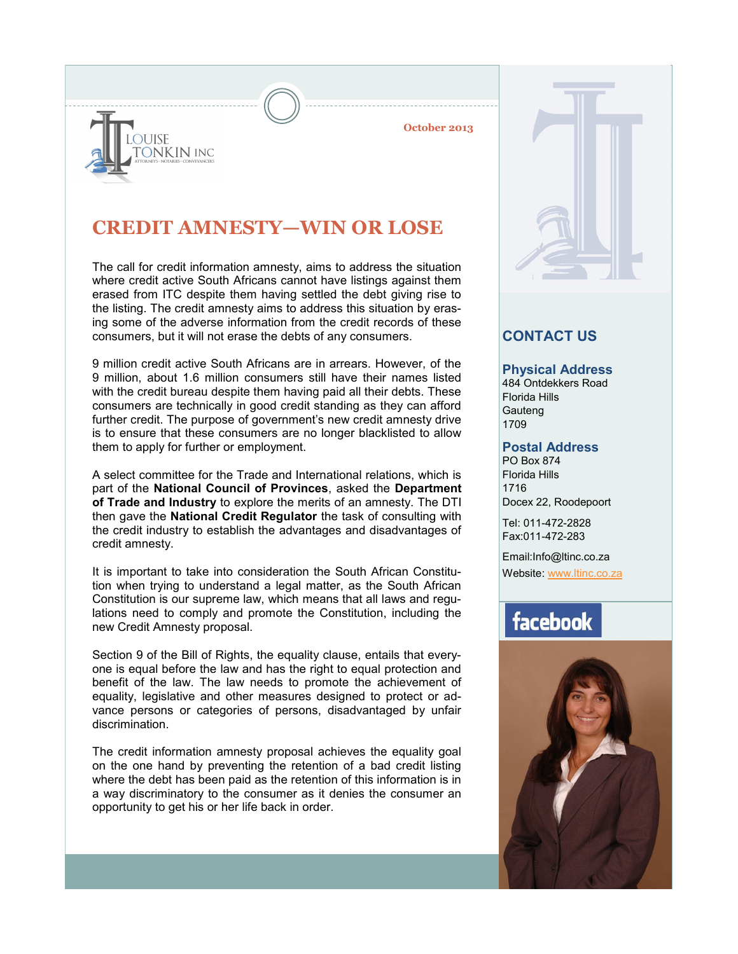**October 2013**



**CREDIT AMNESTY—WIN OR LOSE**

The call for credit information amnesty, aims to address the situation where credit active South Africans cannot have listings against them erased from ITC despite them having settled the debt giving rise to the listing. The credit amnesty aims to address this situation by erasing some of the adverse information from the credit records of these consumers, but it will not erase the debts of any consumers.

9 million credit active South Africans are in arrears. However, of the 9 million, about 1.6 million consumers still have their names listed with the credit bureau despite them having paid all their debts. These consumers are technically in good credit standing as they can afford further credit. The purpose of government's new credit amnesty drive is to ensure that these consumers are no longer blacklisted to allow them to apply for further or employment.

A select committee for the Trade and International relations, which is part of the **National Council of Provinces**, asked the **Department of Trade and Industry** to explore the merits of an amnesty. The DTI then gave the **National Credit Regulator** the task of consulting with the credit industry to establish the advantages and disadvantages of credit amnesty.

It is important to take into consideration the South African Constitution when trying to understand a legal matter, as the South African Constitution is our supreme law, which means that all laws and regulations need to comply and promote the Constitution, including the new Credit Amnesty proposal.

Section 9 of the Bill of Rights, the equality clause, entails that everyone is equal before the law and has the right to equal protection and benefit of the law. The law needs to promote the achievement of equality, legislative and other measures designed to protect or advance persons or categories of persons, disadvantaged by unfair discrimination.

The credit information amnesty proposal achieves the equality goal on the one hand by preventing the retention of a bad credit listing where the debt has been paid as the retention of this information is in a way discriminatory to the consumer as it denies the consumer an opportunity to get his or her life back in order.



### **CONTACT US**

#### **Physical Address**

484 Ontdekkers Road Florida Hills **Gauteng** 1709

#### **Postal Address**

PO Box 874 Florida Hills 1716 Docex 22, Roodepoort

Tel: 011-472-2828 Fax:011-472-283

Email:Info@ltinc.co.za

Website: [www.ltinc.co.za](http://www.btjs.co.za/)

# facebook